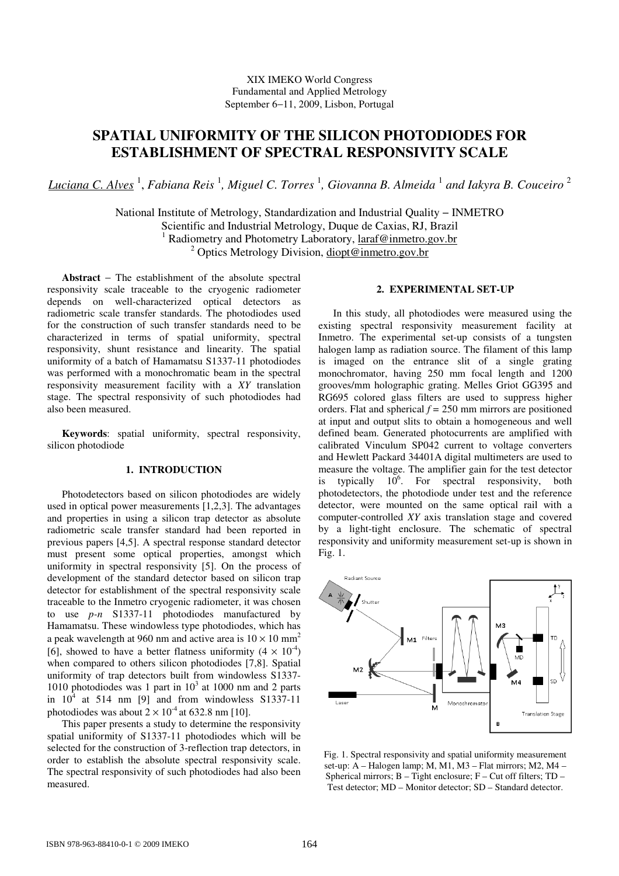## XIX IMEKO World Congress Fundamental and Applied Metrology September 6−11, 2009, Lisbon, Portugal

# **SPATIAL UNIFORMITY OF THE SILICON PHOTODIODES FOR ESTABLISHMENT OF SPECTRAL RESPONSIVITY SCALE**

*Luciana C. Alves* <sup>1</sup> , *Fabiana Reis* <sup>1</sup> *, Miguel C. Torres* <sup>1</sup> *, Giovanna B. Almeida* <sup>1</sup>  *and Iakyra B. Couceiro* <sup>2</sup>

National Institute of Metrology, Standardization and Industrial Quality − INMETRO Scientific and Industrial Metrology, Duque de Caxias, RJ, Brazil <sup>1</sup> Radiometry and Photometry Laboratory, laraf@inmetro.gov.br <sup>2</sup> Optics Metrology Division, diopt@inmetro.gov.br

**Abstract** − The establishment of the absolute spectral responsivity scale traceable to the cryogenic radiometer depends on well-characterized optical detectors as radiometric scale transfer standards. The photodiodes used for the construction of such transfer standards need to be characterized in terms of spatial uniformity, spectral responsivity, shunt resistance and linearity. The spatial uniformity of a batch of Hamamatsu S1337-11 photodiodes was performed with a monochromatic beam in the spectral responsivity measurement facility with a *XY* translation stage. The spectral responsivity of such photodiodes had also been measured.

**Keywords**: spatial uniformity, spectral responsivity, silicon photodiode

#### **1. INTRODUCTION**

Photodetectors based on silicon photodiodes are widely used in optical power measurements [1,2,3]. The advantages and properties in using a silicon trap detector as absolute radiometric scale transfer standard had been reported in previous papers [4,5]. A spectral response standard detector must present some optical properties, amongst which uniformity in spectral responsivity [5]. On the process of development of the standard detector based on silicon trap detector for establishment of the spectral responsivity scale traceable to the Inmetro cryogenic radiometer, it was chosen to use *p-n* S1337-11 photodiodes manufactured by Hamamatsu. These windowless type photodiodes, which has a peak wavelength at 960 nm and active area is  $10 \times 10$  mm<sup>2</sup> [6], showed to have a better flatness uniformity  $(4 \times 10^{-4})$ when compared to others silicon photodiodes [7,8]. Spatial uniformity of trap detectors built from windowless S1337- 1010 photodiodes was 1 part in  $10^3$  at 1000 nm and 2 parts in  $10^4$  at 514 nm [9] and from windowless S1337-11 photodiodes was about  $2 \times 10^{-4}$  at 632.8 nm [10].

This paper presents a study to determine the responsivity spatial uniformity of S1337-11 photodiodes which will be selected for the construction of 3-reflection trap detectors, in order to establish the absolute spectral responsivity scale. The spectral responsivity of such photodiodes had also been measured.

#### **2. EXPERIMENTAL SET-UP**

In this study, all photodiodes were measured using the existing spectral responsivity measurement facility at Inmetro. The experimental set-up consists of a tungsten halogen lamp as radiation source. The filament of this lamp is imaged on the entrance slit of a single grating monochromator, having 250 mm focal length and 1200 grooves/mm holographic grating. Melles Griot GG395 and RG695 colored glass filters are used to suppress higher orders. Flat and spherical  $f = 250$  mm mirrors are positioned at input and output slits to obtain a homogeneous and well defined beam. Generated photocurrents are amplified with calibrated Vinculum SP042 current to voltage converters and Hewlett Packard 34401A digital multimeters are used to measure the voltage. The amplifier gain for the test detector is typically  $10^6$ . For spectral responsivity, both photodetectors, the photodiode under test and the reference detector, were mounted on the same optical rail with a computer-controlled *XY* axis translation stage and covered by a light-tight enclosure. The schematic of spectral responsivity and uniformity measurement set-up is shown in Fig. 1.



Fig. 1. Spectral responsivity and spatial uniformity measurement set-up: A – Halogen lamp; M, M1, M3 – Flat mirrors; M2, M4 – Spherical mirrors; B – Tight enclosure; F – Cut off filters; TD – Test detector; MD – Monitor detector; SD – Standard detector.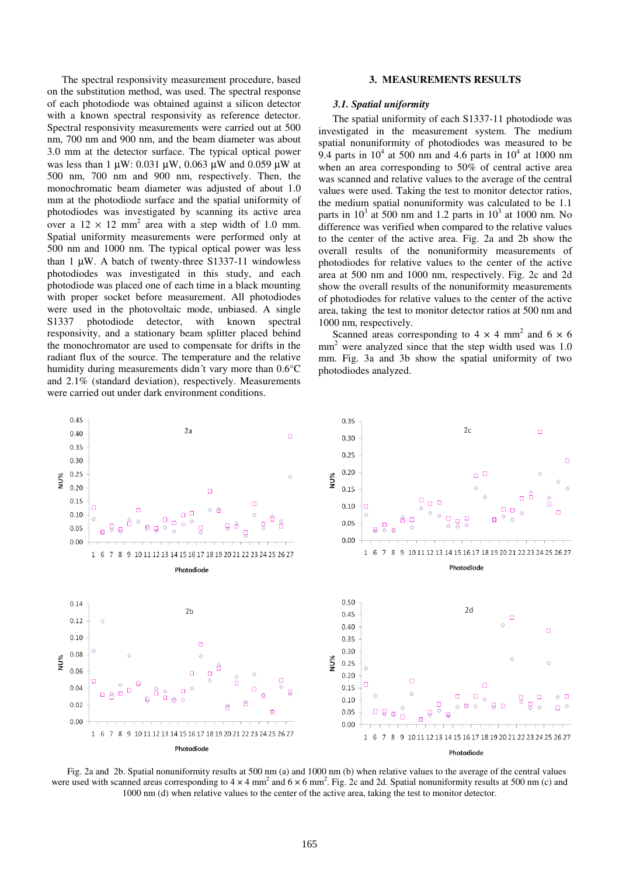The spectral responsivity measurement procedure, based on the substitution method, was used. The spectral response of each photodiode was obtained against a silicon detector with a known spectral responsivity as reference detector. Spectral responsivity measurements were carried out at 500 nm, 700 nm and 900 nm, and the beam diameter was about 3.0 mm at the detector surface. The typical optical power was less than 1  $\mu$ W: 0.031  $\mu$ W, 0.063  $\mu$ W and 0.059  $\mu$ W at 500 nm, 700 nm and 900 nm, respectively. Then, the monochromatic beam diameter was adjusted of about 1.0 mm at the photodiode surface and the spatial uniformity of photodiodes was investigated by scanning its active area over a  $12 \times 12$  mm<sup>2</sup> area with a step width of 1.0 mm. Spatial uniformity measurements were performed only at 500 nm and 1000 nm. The typical optical power was less than 1  $\mu$ W. A batch of twenty-three S1337-11 windowless photodiodes was investigated in this study, and each photodiode was placed one of each time in a black mounting with proper socket before measurement. All photodiodes were used in the photovoltaic mode, unbiased. A single S1337 photodiode detector, with known spectral responsivity, and a stationary beam splitter placed behind the monochromator are used to compensate for drifts in the radiant flux of the source. The temperature and the relative humidity during measurements didn´t vary more than 0.6°C and 2.1% (standard deviation), respectively. Measurements were carried out under dark environment conditions.

#### **3. MEASUREMENTS RESULTS**

#### *3.1. Spatial uniformity*

The spatial uniformity of each S1337-11 photodiode was investigated in the measurement system. The medium spatial nonuniformity of photodiodes was measured to be 9.4 parts in  $10^4$  at 500 nm and 4.6 parts in  $10^4$  at 1000 nm when an area corresponding to 50% of central active area was scanned and relative values to the average of the central values were used. Taking the test to monitor detector ratios, the medium spatial nonuniformity was calculated to be 1.1 parts in  $10^3$  at 500 nm and 1.2 parts in  $10^3$  at 1000 nm. No difference was verified when compared to the relative values to the center of the active area. Fig. 2a and 2b show the overall results of the nonuniformity measurements of photodiodes for relative values to the center of the active area at 500 nm and 1000 nm, respectively. Fig. 2c and 2d show the overall results of the nonuniformity measurements of photodiodes for relative values to the center of the active area, taking the test to monitor detector ratios at 500 nm and 1000 nm, respectively.

Scanned areas corresponding to  $4 \times 4$  mm<sup>2</sup> and  $6 \times 6$  $mm<sup>2</sup>$  were analyzed since that the step width used was 1.0 mm. Fig. 3a and 3b show the spatial uniformity of two photodiodes analyzed.



Fig. 2a and 2b. Spatial nonuniformity results at 500 nm (a) and 1000 nm (b) when relative values to the average of the central values were used with scanned areas corresponding to  $4 \times 4$  mm<sup>2</sup> and  $6 \times 6$  mm<sup>2</sup>. Fig. 2c and 2d. Spatial nonuniformity results at 500 nm (c) and 1000 nm (d) when relative values to the center of the active area, taking the test to monitor detector.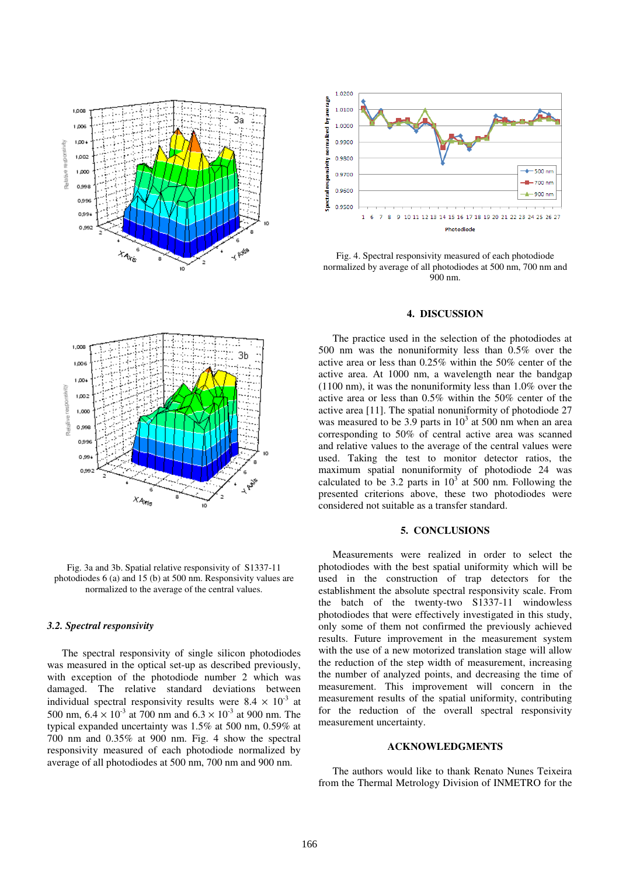



Fig. 4. Spectral responsivity measured of each photodiode normalized by average of all photodiodes at 500 nm, 700 nm and 900 nm.

#### **4. DISCUSSION**

The practice used in the selection of the photodiodes at 500 nm was the nonuniformity less than 0.5% over the active area or less than 0.25% within the 50% center of the active area. At 1000 nm, a wavelength near the bandgap (1100 nm), it was the nonuniformity less than 1.0% over the active area or less than 0.5% within the 50% center of the active area [11]. The spatial nonuniformity of photodiode 27 was measured to be 3.9 parts in  $10<sup>3</sup>$  at 500 nm when an area corresponding to 50% of central active area was scanned and relative values to the average of the central values were used. Taking the test to monitor detector ratios, the maximum spatial nonuniformity of photodiode 24 was calculated to be 3.2 parts in  $10^3$  at 500 nm. Following the presented criterions above, these two photodiodes were considered not suitable as a transfer standard.

### **5. CONCLUSIONS**

Measurements were realized in order to select the photodiodes with the best spatial uniformity which will be used in the construction of trap detectors for the establishment the absolute spectral responsivity scale. From the batch of the twenty-two S1337-11 windowless photodiodes that were effectively investigated in this study, only some of them not confirmed the previously achieved results. Future improvement in the measurement system with the use of a new motorized translation stage will allow the reduction of the step width of measurement, increasing the number of analyzed points, and decreasing the time of measurement. This improvement will concern in the measurement results of the spatial uniformity, contributing for the reduction of the overall spectral responsivity measurement uncertainty.

#### **ACKNOWLEDGMENTS**

The authors would like to thank Renato Nunes Teixeira from the Thermal Metrology Division of INMETRO for the



Fig. 3a and 3b. Spatial relative responsivity of S1337-11 photodiodes 6 (a) and 15 (b) at 500 nm. Responsivity values are normalized to the average of the central values.

#### *3.2. Spectral responsivity*

The spectral responsivity of single silicon photodiodes was measured in the optical set-up as described previously, with exception of the photodiode number 2 which was damaged. The relative standard deviations between individual spectral responsivity results were  $8.4 \times 10^{-3}$  at 500 nm,  $6.4 \times 10^{-3}$  at 700 nm and  $6.3 \times 10^{-3}$  at 900 nm. The typical expanded uncertainty was 1.5% at 500 nm, 0.59% at 700 nm and 0.35% at 900 nm. Fig. 4 show the spectral responsivity measured of each photodiode normalized by average of all photodiodes at 500 nm, 700 nm and 900 nm.